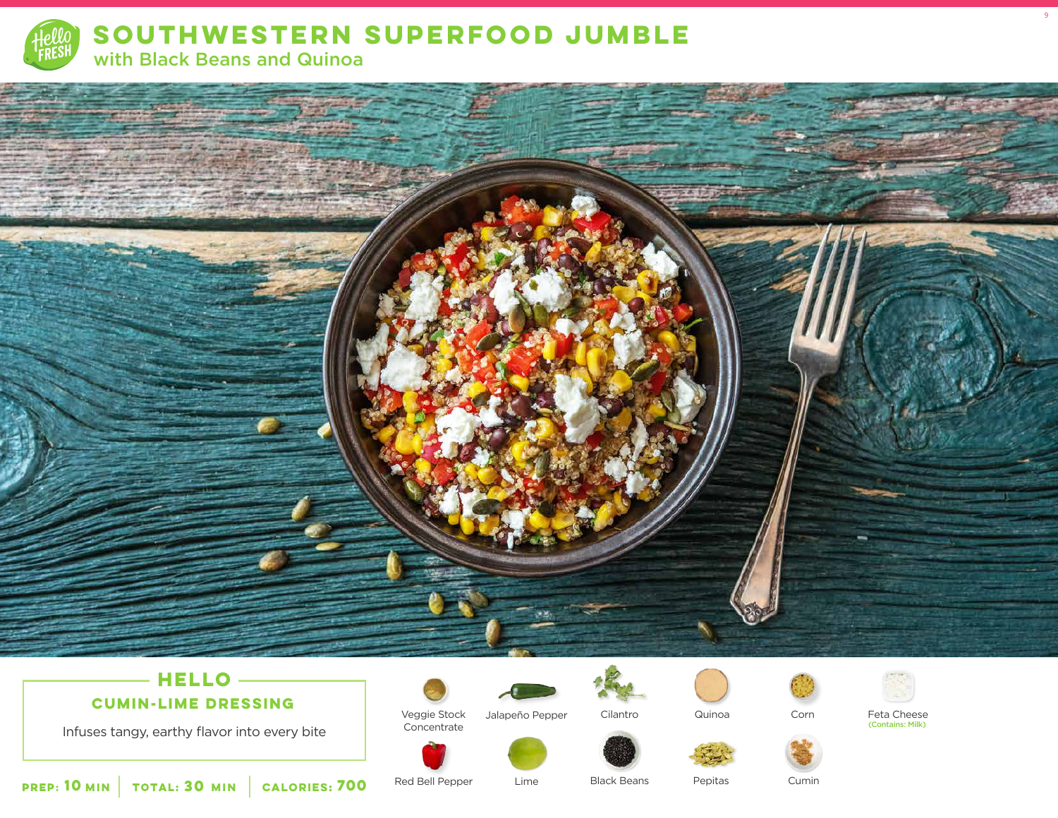

SOUTHWESTERN SUPERFOOD JUMBLE with Black Beans and Quinoa



## $-$  HELLO  $-$ **CUMIN-LIME DRESSING**

Infuses tangy, earthy flavor into every bite



Veggie Stock

Concentrate

Red Bell Pepper



Jalapeño Pepper

Lime







Feta Cheese (Contains: Milk)

 $\overline{9}$ 

Cilantro

**Black Beans** 

Pepitas

Cumin

TOTAL: 30 MIN **PREP: 10 MIN CALORIES: 700**